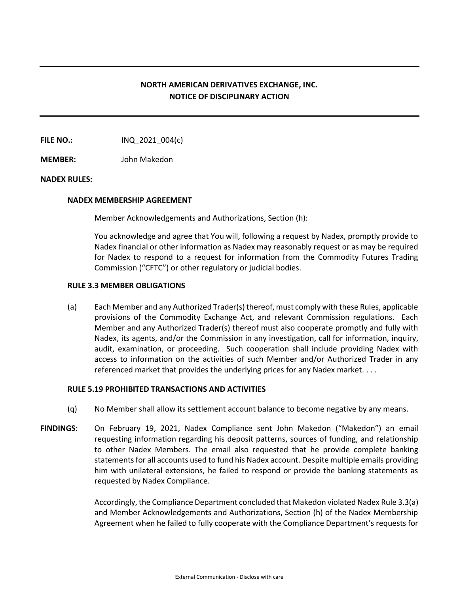# **NORTH AMERICAN DERIVATIVES EXCHANGE, INC. NOTICE OF DISCIPLINARY ACTION**

**FILE NO.:** INQ 2021 004(c)

**MEMBER:** John Makedon

## **NADEX RULES:**

#### **NADEX MEMBERSHIP AGREEMENT**

Member Acknowledgements and Authorizations, Section (h):

You acknowledge and agree that You will, following a request by Nadex, promptly provide to Nadex financial or other information as Nadex may reasonably request or as may be required for Nadex to respond to a request for information from the Commodity Futures Trading Commission ("CFTC") or other regulatory or judicial bodies.

#### **RULE 3.3 MEMBER OBLIGATIONS**

(a) Each Member and any Authorized Trader(s) thereof, must comply with these Rules, applicable provisions of the Commodity Exchange Act, and relevant Commission regulations. Each Member and any Authorized Trader(s) thereof must also cooperate promptly and fully with Nadex, its agents, and/or the Commission in any investigation, call for information, inquiry, audit, examination, or proceeding. Such cooperation shall include providing Nadex with access to information on the activities of such Member and/or Authorized Trader in any referenced market that provides the underlying prices for any Nadex market. . . .

## **RULE 5.19 PROHIBITED TRANSACTIONS AND ACTIVITIES**

- (q) No Member shall allow its settlement account balance to become negative by any means.
- **FINDINGS:** On February 19, 2021, Nadex Compliance sent John Makedon ("Makedon") an email requesting information regarding his deposit patterns, sources of funding, and relationship to other Nadex Members. The email also requested that he provide complete banking statements for all accounts used to fund his Nadex account. Despite multiple emails providing him with unilateral extensions, he failed to respond or provide the banking statements as requested by Nadex Compliance.

Accordingly, the Compliance Department concluded that Makedon violated Nadex Rule 3.3(a) and Member Acknowledgements and Authorizations, Section (h) of the Nadex Membership Agreement when he failed to fully cooperate with the Compliance Department's requests for